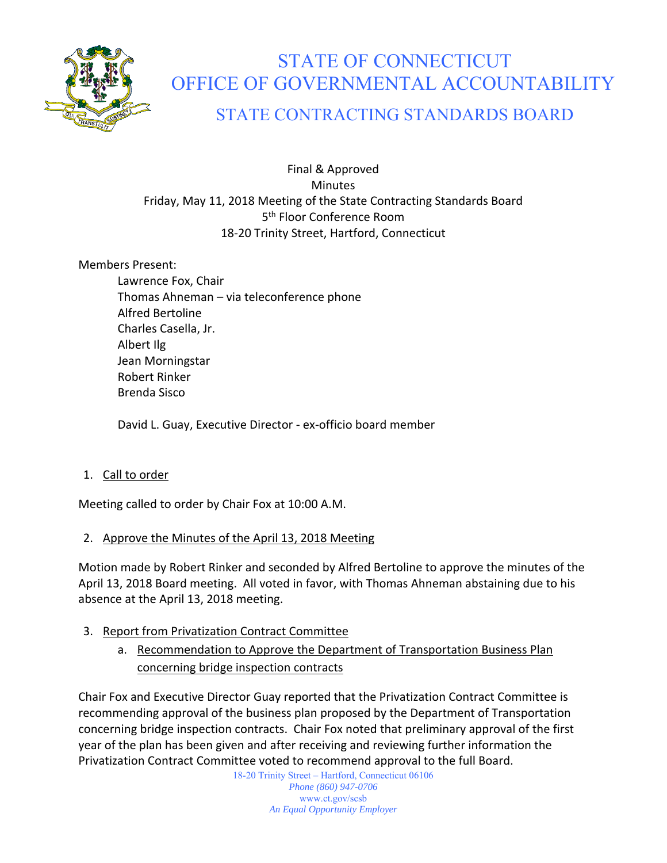

# STATE OF CONNECTICUT OFFICE OF GOVERNMENTAL ACCOUNTABILITY

# STATE CONTRACTING STANDARDS BOARD

Final & Approved **Minutes** Friday, May 11, 2018 Meeting of the State Contracting Standards Board 5<sup>th</sup> Floor Conference Room 18‐20 Trinity Street, Hartford, Connecticut

Members Present:

Lawrence Fox, Chair Thomas Ahneman – via teleconference phone Alfred Bertoline Charles Casella, Jr. Albert Ilg Jean Morningstar Robert Rinker Brenda Sisco

David L. Guay, Executive Director ‐ ex‐officio board member

1. Call to order

Meeting called to order by Chair Fox at 10:00 A.M.

# 2. Approve the Minutes of the April 13, 2018 Meeting

Motion made by Robert Rinker and seconded by Alfred Bertoline to approve the minutes of the April 13, 2018 Board meeting. All voted in favor, with Thomas Ahneman abstaining due to his absence at the April 13, 2018 meeting.

- 3. Report from Privatization Contract Committee
	- a. Recommendation to Approve the Department of Transportation Business Plan concerning bridge inspection contracts

Chair Fox and Executive Director Guay reported that the Privatization Contract Committee is recommending approval of the business plan proposed by the Department of Transportation concerning bridge inspection contracts. Chair Fox noted that preliminary approval of the first year of the plan has been given and after receiving and reviewing further information the Privatization Contract Committee voted to recommend approval to the full Board.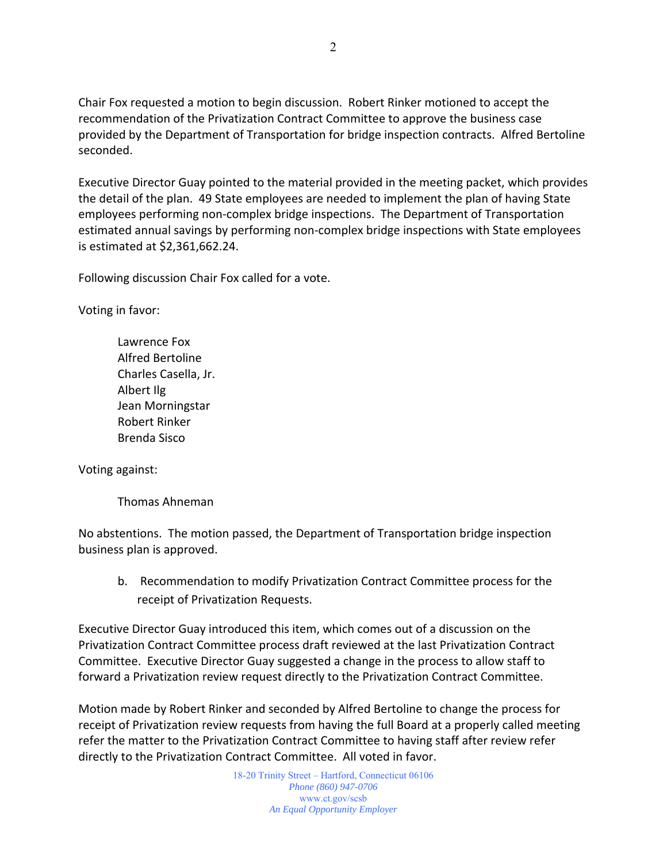Chair Fox requested a motion to begin discussion. Robert Rinker motioned to accept the recommendation of the Privatization Contract Committee to approve the business case provided by the Department of Transportation for bridge inspection contracts. Alfred Bertoline seconded.

Executive Director Guay pointed to the material provided in the meeting packet, which provides the detail of the plan. 49 State employees are needed to implement the plan of having State employees performing non‐complex bridge inspections. The Department of Transportation estimated annual savings by performing non‐complex bridge inspections with State employees is estimated at \$2,361,662.24.

Following discussion Chair Fox called for a vote.

Voting in favor:

Lawrence Fox Alfred Bertoline Charles Casella, Jr. Albert Ilg Jean Morningstar Robert Rinker Brenda Sisco

Voting against:

Thomas Ahneman

No abstentions. The motion passed, the Department of Transportation bridge inspection business plan is approved.

b. Recommendation to modify Privatization Contract Committee process for the receipt of Privatization Requests.

Executive Director Guay introduced this item, which comes out of a discussion on the Privatization Contract Committee process draft reviewed at the last Privatization Contract Committee. Executive Director Guay suggested a change in the process to allow staff to forward a Privatization review request directly to the Privatization Contract Committee.

Motion made by Robert Rinker and seconded by Alfred Bertoline to change the process for receipt of Privatization review requests from having the full Board at a properly called meeting refer the matter to the Privatization Contract Committee to having staff after review refer directly to the Privatization Contract Committee. All voted in favor.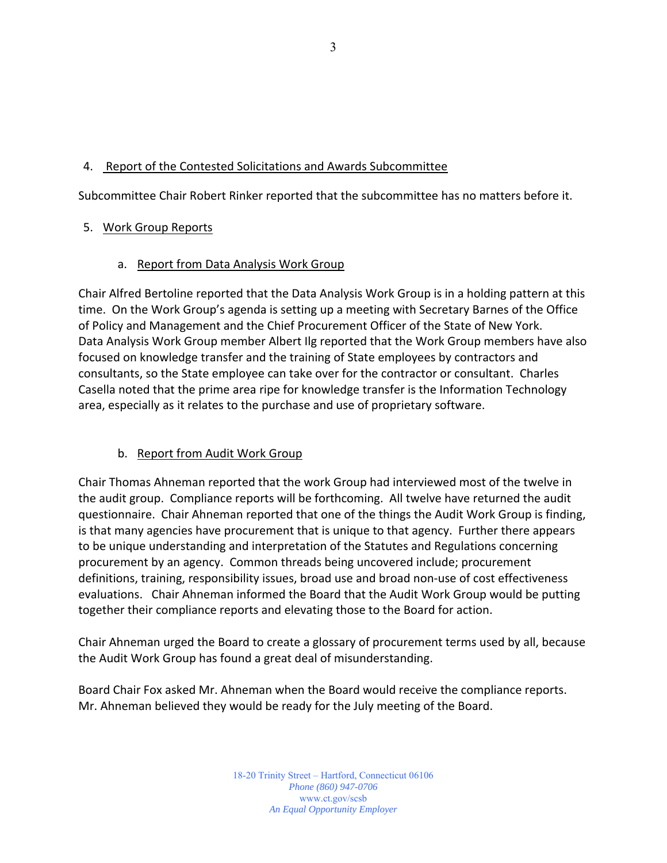# 4. Report of the Contested Solicitations and Awards Subcommittee

Subcommittee Chair Robert Rinker reported that the subcommittee has no matters before it.

# 5. Work Group Reports

#### a. Report from Data Analysis Work Group

Chair Alfred Bertoline reported that the Data Analysis Work Group is in a holding pattern at this time. On the Work Group's agenda is setting up a meeting with Secretary Barnes of the Office of Policy and Management and the Chief Procurement Officer of the State of New York. Data Analysis Work Group member Albert Ilg reported that the Work Group members have also focused on knowledge transfer and the training of State employees by contractors and consultants, so the State employee can take over for the contractor or consultant. Charles Casella noted that the prime area ripe for knowledge transfer is the Information Technology area, especially as it relates to the purchase and use of proprietary software.

# b. Report from Audit Work Group

Chair Thomas Ahneman reported that the work Group had interviewed most of the twelve in the audit group. Compliance reports will be forthcoming. All twelve have returned the audit questionnaire. Chair Ahneman reported that one of the things the Audit Work Group is finding, is that many agencies have procurement that is unique to that agency. Further there appears to be unique understanding and interpretation of the Statutes and Regulations concerning procurement by an agency. Common threads being uncovered include; procurement definitions, training, responsibility issues, broad use and broad non‐use of cost effectiveness evaluations. Chair Ahneman informed the Board that the Audit Work Group would be putting together their compliance reports and elevating those to the Board for action.

Chair Ahneman urged the Board to create a glossary of procurement terms used by all, because the Audit Work Group has found a great deal of misunderstanding.

Board Chair Fox asked Mr. Ahneman when the Board would receive the compliance reports. Mr. Ahneman believed they would be ready for the July meeting of the Board.